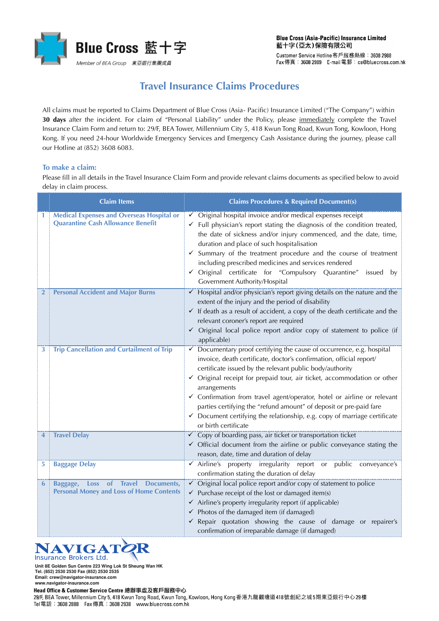

## **Travel Insurance Claims Procedures**

All claims must be reported to Claims Department of Blue Cross (Asia- Pacific) Insurance Limited ("The Company") within **30 days** after the incident. For claim of "Personal Liability" under the Policy, please immediately complete the Travel Insurance Claim Form and return to: 29/F, BEA Tower, Millennium City 5, 418 Kwun Tong Road, Kwun Tong, Kowloon, Hong Kong. If you need 24-hour Worldwide Emergency Services and Emergency Cash Assistance during the journey, please call our Hotline at (852) 3608 6083.

## **To make a claim:**

Please fill in all details in the Travel Insurance Claim Form and provide relevant claims documents as specified below to avoid delay in claim process.

|                | <b>Claim Items</b>                                                                           | <b>Claims Procedures &amp; Required Document(s)</b>                                                                                                                                                                                                                                                                                                                                                                                                                                                                                                                             |
|----------------|----------------------------------------------------------------------------------------------|---------------------------------------------------------------------------------------------------------------------------------------------------------------------------------------------------------------------------------------------------------------------------------------------------------------------------------------------------------------------------------------------------------------------------------------------------------------------------------------------------------------------------------------------------------------------------------|
| 1              | <b>Medical Expenses and Overseas Hospital or</b><br><b>Quarantine Cash Allowance Benefit</b> | ✓ Original hospital invoice and/or medical expenses receipt<br>$\checkmark$ Full physician's report stating the diagnosis of the condition treated,<br>the date of sickness and/or injury commenced, and the date, time,<br>duration and place of such hospitalisation<br>$\checkmark$ Summary of the treatment procedure and the course of treatment<br>including prescribed medicines and services rendered<br>√ Original certificate for "Compulsory Quarantine" issued by<br>Government Authority/Hospital                                                                  |
| $\overline{2}$ | <b>Personal Accident and Major Burns</b>                                                     | Hospital and/or physician's report giving details on the nature and the<br>extent of the injury and the period of disability<br>$\checkmark$ If death as a result of accident, a copy of the death certificate and the<br>relevant coroner's report are required<br>√ Original local police report and/or copy of statement to police (if<br>applicable)                                                                                                                                                                                                                        |
| 3              | <b>Trip Cancellation and Curtailment of Trip</b>                                             | <del>←</del> Documentary proof certifying the cause of occurrence, e.g. hospital<br>invoice, death certificate, doctor's confirmation, official report/<br>certificate issued by the relevant public body/authority<br>✓ Original receipt for prepaid tour, air ticket, accommodation or other<br>arrangements<br>✓ Confirmation from travel agent/operator, hotel or airline or relevant<br>parties certifying the "refund amount" of deposit or pre-paid fare<br>$\checkmark$ Document certifying the relationship, e.g. copy of marriage certificate<br>or birth certificate |
| 4              | <b>Travel Delay</b>                                                                          | <del>○ Copy</del> of boarding pass, air ticket or transportation ticket<br>$\checkmark$ Official document from the airline or public conveyance stating the<br>reason, date, time and duration of delay                                                                                                                                                                                                                                                                                                                                                                         |
| 5              | <b>Baggage Delay</b>                                                                         | ✓ Airline's property irregularity report or public conveyance's<br>confirmation stating the duration of delay                                                                                                                                                                                                                                                                                                                                                                                                                                                                   |
| 6              | Baggage, Loss of Travel Documents,<br><b>Personal Money and Loss of Home Contents</b>        | $\checkmark$ Purchase receipt of the lost or damaged item(s)<br>$\checkmark$ Airline's property irregularity report (if applicable)<br>$\checkmark$ Photos of the damaged item (if damaged)<br>√ Repair quotation showing the cause of damage or repairer's<br>confirmation of irreparable damage (if damaged)                                                                                                                                                                                                                                                                  |

## **NAVIGATE**

**Unit 8E Golden Sun Centre 223 Wing Lok St Sheung Wan HK Tel. (852) 2530 2530 Fax (852) 2530 2535 Email: crew@navigator-insurance.com**

**www.navigator-insurance.com**

Head Office & Customer Service Centre 總辦事處及客戶服務中心

29/F, BEA Tower, Millennium City 5, 418 Kwun Tong Road, Kwun Tong, Kowloon, Hong Kong香港九龍觀塘道418號創紀之城5期東亞銀行中心29樓 Tel 電話: 3608 2888 Fax 傳真: 3608 2938 www.bluecross.com.hk